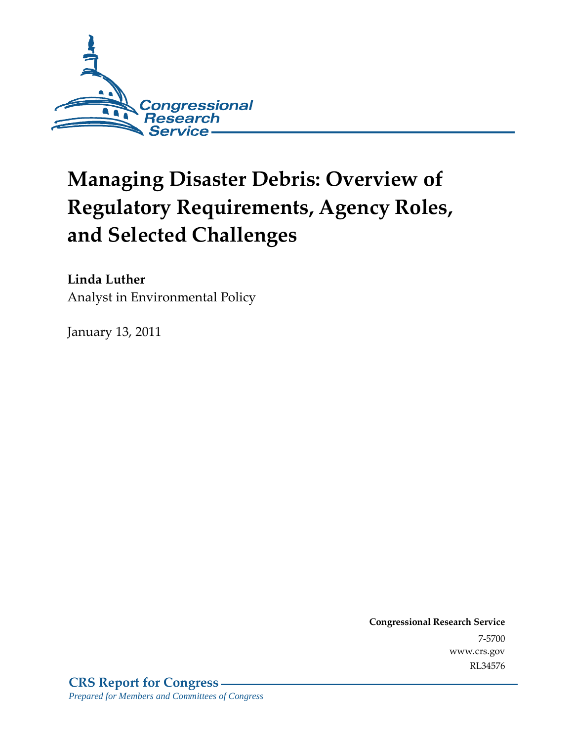

# **Managing Disaster Debris: Overview of Regulatory Requirements, Agency Roles, and Selected Challenges**

### **Linda Luther**

Analyst in Environmental Policy

January 13, 2011

**Congressional Research Service** 7-5700 www.crs.gov RL34576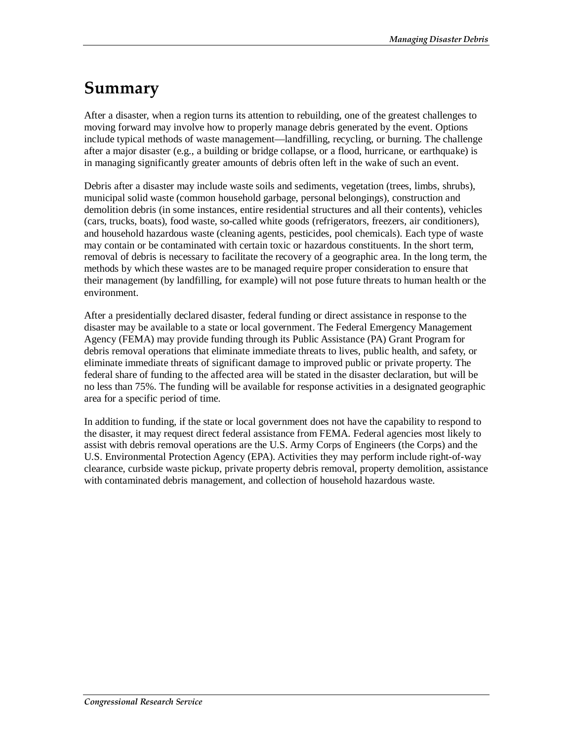## **Summary**

After a disaster, when a region turns its attention to rebuilding, one of the greatest challenges to moving forward may involve how to properly manage debris generated by the event. Options include typical methods of waste management—landfilling, recycling, or burning. The challenge after a major disaster (e.g., a building or bridge collapse, or a flood, hurricane, or earthquake) is in managing significantly greater amounts of debris often left in the wake of such an event.

Debris after a disaster may include waste soils and sediments, vegetation (trees, limbs, shrubs), municipal solid waste (common household garbage, personal belongings), construction and demolition debris (in some instances, entire residential structures and all their contents), vehicles (cars, trucks, boats), food waste, so-called white goods (refrigerators, freezers, air conditioners), and household hazardous waste (cleaning agents, pesticides, pool chemicals). Each type of waste may contain or be contaminated with certain toxic or hazardous constituents. In the short term, removal of debris is necessary to facilitate the recovery of a geographic area. In the long term, the methods by which these wastes are to be managed require proper consideration to ensure that their management (by landfilling, for example) will not pose future threats to human health or the environment.

After a presidentially declared disaster, federal funding or direct assistance in response to the disaster may be available to a state or local government. The Federal Emergency Management Agency (FEMA) may provide funding through its Public Assistance (PA) Grant Program for debris removal operations that eliminate immediate threats to lives, public health, and safety, or eliminate immediate threats of significant damage to improved public or private property. The federal share of funding to the affected area will be stated in the disaster declaration, but will be no less than 75%. The funding will be available for response activities in a designated geographic area for a specific period of time.

In addition to funding, if the state or local government does not have the capability to respond to the disaster, it may request direct federal assistance from FEMA. Federal agencies most likely to assist with debris removal operations are the U.S. Army Corps of Engineers (the Corps) and the U.S. Environmental Protection Agency (EPA). Activities they may perform include right-of-way clearance, curbside waste pickup, private property debris removal, property demolition, assistance with contaminated debris management, and collection of household hazardous waste.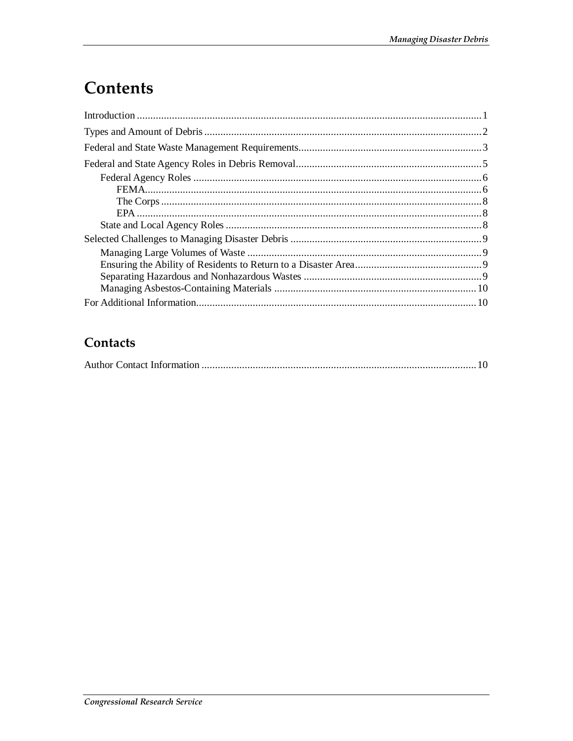## **Contents**

### Contacts

|--|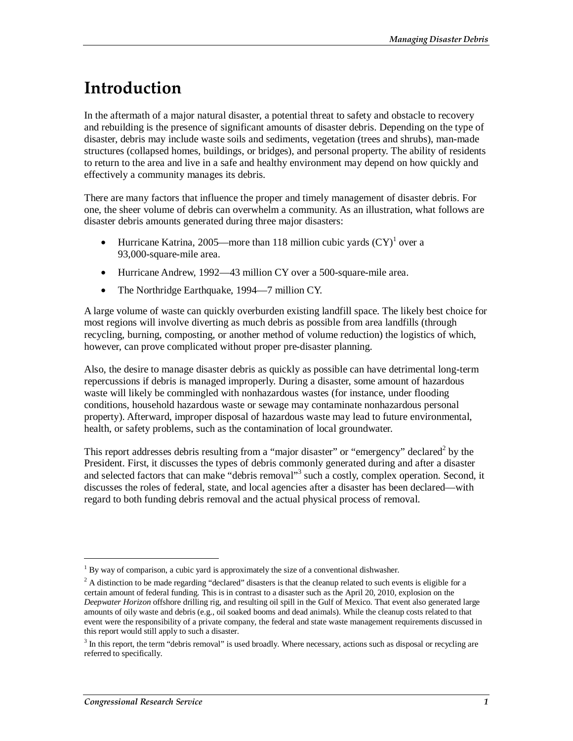## **Introduction**

In the aftermath of a major natural disaster, a potential threat to safety and obstacle to recovery and rebuilding is the presence of significant amounts of disaster debris. Depending on the type of disaster, debris may include waste soils and sediments, vegetation (trees and shrubs), man-made structures (collapsed homes, buildings, or bridges), and personal property. The ability of residents to return to the area and live in a safe and healthy environment may depend on how quickly and effectively a community manages its debris.

There are many factors that influence the proper and timely management of disaster debris. For one, the sheer volume of debris can overwhelm a community. As an illustration, what follows are disaster debris amounts generated during three major disasters:

- Hurricane Katrina, 2005—more than 118 million cubic yards  $(CY)^1$  over a 93,000-square-mile area.
- Hurricane Andrew, 1992—43 million CY over a 500-square-mile area.
- The Northridge Earthquake, 1994—7 million CY.

A large volume of waste can quickly overburden existing landfill space. The likely best choice for most regions will involve diverting as much debris as possible from area landfills (through recycling, burning, composting, or another method of volume reduction) the logistics of which, however, can prove complicated without proper pre-disaster planning.

Also, the desire to manage disaster debris as quickly as possible can have detrimental long-term repercussions if debris is managed improperly. During a disaster, some amount of hazardous waste will likely be commingled with nonhazardous wastes (for instance, under flooding conditions, household hazardous waste or sewage may contaminate nonhazardous personal property). Afterward, improper disposal of hazardous waste may lead to future environmental, health, or safety problems, such as the contamination of local groundwater.

This report addresses debris resulting from a "major disaster" or "emergency" declared<sup>2</sup> by the President. First, it discusses the types of debris commonly generated during and after a disaster and selected factors that can make "debris removal"<sup>3</sup> such a costly, complex operation. Second, it discusses the roles of federal, state, and local agencies after a disaster has been declared—with regard to both funding debris removal and the actual physical process of removal.

 $<sup>1</sup>$  By way of comparison, a cubic yard is approximately the size of a conventional dishwasher.</sup>

 $2^2$  A distinction to be made regarding "declared" disasters is that the cleanup related to such events is eligible for a certain amount of federal funding. This is in contrast to a disaster such as the April 20, 2010, explosion on the *Deepwater Horizon* offshore drilling rig, and resulting oil spill in the Gulf of Mexico. That event also generated large amounts of oily waste and debris (e.g., oil soaked booms and dead animals). While the cleanup costs related to that event were the responsibility of a private company, the federal and state waste management requirements discussed in this report would still apply to such a disaster.

 $3$  In this report, the term "debris removal" is used broadly. Where necessary, actions such as disposal or recycling are referred to specifically.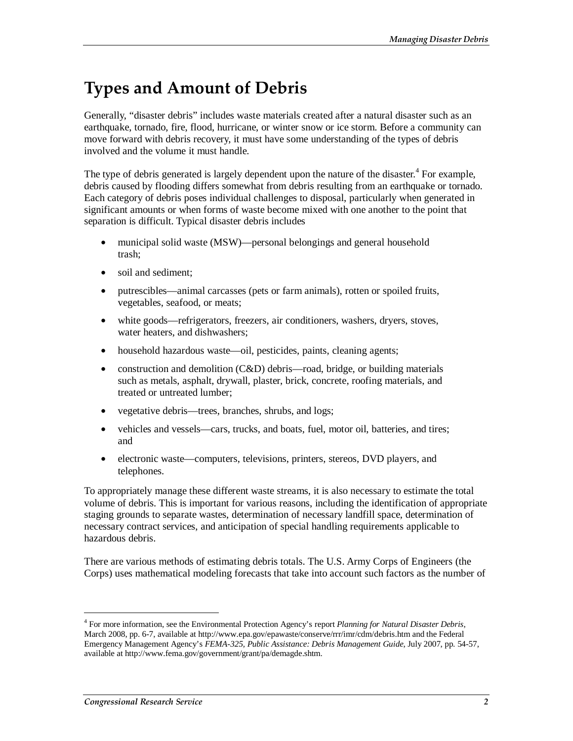## **Types and Amount of Debris**

Generally, "disaster debris" includes waste materials created after a natural disaster such as an earthquake, tornado, fire, flood, hurricane, or winter snow or ice storm. Before a community can move forward with debris recovery, it must have some understanding of the types of debris involved and the volume it must handle.

The type of debris generated is largely dependent upon the nature of the disaster.<sup>4</sup> For example, debris caused by flooding differs somewhat from debris resulting from an earthquake or tornado. Each category of debris poses individual challenges to disposal, particularly when generated in significant amounts or when forms of waste become mixed with one another to the point that separation is difficult. Typical disaster debris includes

- municipal solid waste (MSW)—personal belongings and general household trash;
- soil and sediment;
- putrescibles—animal carcasses (pets or farm animals), rotten or spoiled fruits, vegetables, seafood, or meats;
- white goods—refrigerators, freezers, air conditioners, washers, dryers, stoves, water heaters, and dishwashers;
- household hazardous waste—oil, pesticides, paints, cleaning agents;
- construction and demolition (C&D) debris—road, bridge, or building materials such as metals, asphalt, drywall, plaster, brick, concrete, roofing materials, and treated or untreated lumber;
- vegetative debris—trees, branches, shrubs, and logs;
- vehicles and vessels—cars, trucks, and boats, fuel, motor oil, batteries, and tires; and
- electronic waste—computers, televisions, printers, stereos, DVD players, and telephones.

To appropriately manage these different waste streams, it is also necessary to estimate the total volume of debris. This is important for various reasons, including the identification of appropriate staging grounds to separate wastes, determination of necessary landfill space, determination of necessary contract services, and anticipation of special handling requirements applicable to hazardous debris.

There are various methods of estimating debris totals. The U.S. Army Corps of Engineers (the Corps) uses mathematical modeling forecasts that take into account such factors as the number of

<sup>4</sup> For more information, see the Environmental Protection Agency's report *Planning for Natural Disaster Debris*, March 2008, pp. 6-7, available at http://www.epa.gov/epawaste/conserve/rrr/imr/cdm/debris.htm and the Federal Emergency Management Agency's *FEMA-325, Public Assistance: Debris Management Guide*, July 2007, pp. 54-57, available at http://www.fema.gov/government/grant/pa/demagde.shtm.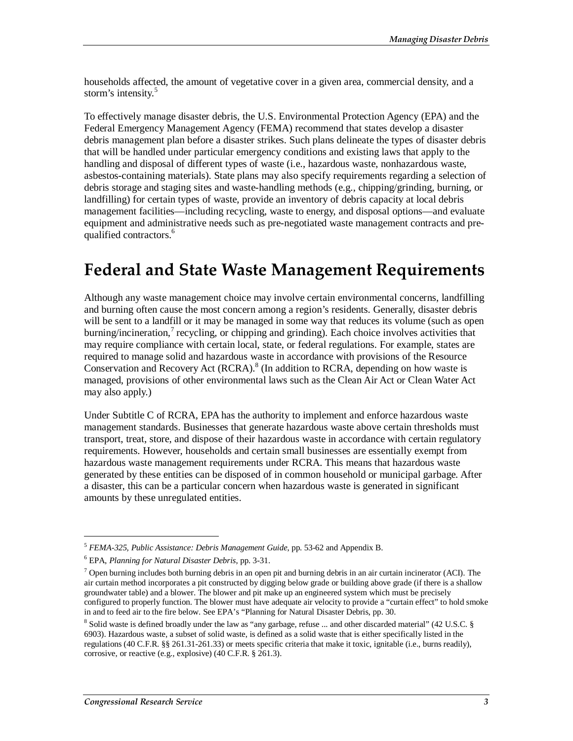households affected, the amount of vegetative cover in a given area, commercial density, and a storm's intensity.<sup>5</sup>

To effectively manage disaster debris, the U.S. Environmental Protection Agency (EPA) and the Federal Emergency Management Agency (FEMA) recommend that states develop a disaster debris management plan before a disaster strikes. Such plans delineate the types of disaster debris that will be handled under particular emergency conditions and existing laws that apply to the handling and disposal of different types of waste (i.e., hazardous waste, nonhazardous waste, asbestos-containing materials). State plans may also specify requirements regarding a selection of debris storage and staging sites and waste-handling methods (e.g., chipping/grinding, burning, or landfilling) for certain types of waste, provide an inventory of debris capacity at local debris management facilities—including recycling, waste to energy, and disposal options—and evaluate equipment and administrative needs such as pre-negotiated waste management contracts and prequalified contractors.<sup>6</sup>

## **Federal and State Waste Management Requirements**

Although any waste management choice may involve certain environmental concerns, landfilling and burning often cause the most concern among a region's residents. Generally, disaster debris will be sent to a landfill or it may be managed in some way that reduces its volume (such as open burning/incineration, $\frac{7}{1}$  recycling, or chipping and grinding). Each choice involves activities that may require compliance with certain local, state, or federal regulations. For example, states are required to manage solid and hazardous waste in accordance with provisions of the Resource Conservation and Recovery Act (RCRA).<sup>8</sup> (In addition to RCRA, depending on how waste is managed, provisions of other environmental laws such as the Clean Air Act or Clean Water Act may also apply.)

Under Subtitle C of RCRA, EPA has the authority to implement and enforce hazardous waste management standards. Businesses that generate hazardous waste above certain thresholds must transport, treat, store, and dispose of their hazardous waste in accordance with certain regulatory requirements. However, households and certain small businesses are essentially exempt from hazardous waste management requirements under RCRA. This means that hazardous waste generated by these entities can be disposed of in common household or municipal garbage. After a disaster, this can be a particular concern when hazardous waste is generated in significant amounts by these unregulated entities.

<sup>5</sup> *FEMA-325, Public Assistance: Debris Management Guide*, pp. 53-62 and Appendix B.

<sup>6</sup> EPA, *Planning for Natural Disaster Debris*, pp. 3-31.

 $<sup>7</sup>$  Open burning includes both burning debris in an open pit and burning debris in an air curtain incinerator (ACI). The</sup> air curtain method incorporates a pit constructed by digging below grade or building above grade (if there is a shallow groundwater table) and a blower. The blower and pit make up an engineered system which must be precisely configured to properly function. The blower must have adequate air velocity to provide a "curtain effect" to hold smoke in and to feed air to the fire below. See EPA's "Planning for Natural Disaster Debris, pp. 30.

 $8$  Solid waste is defined broadly under the law as "any garbage, refuse ... and other discarded material" (42 U.S.C.  $§$ 6903). Hazardous waste, a subset of solid waste, is defined as a solid waste that is either specifically listed in the regulations (40 C.F.R. §§ 261.31-261.33) or meets specific criteria that make it toxic, ignitable (i.e., burns readily), corrosive, or reactive (e.g., explosive) (40 C.F.R. § 261.3).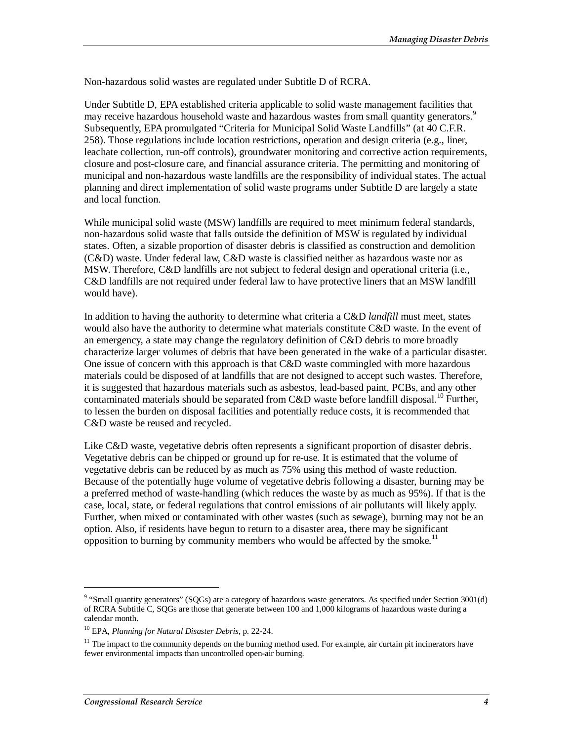Non-hazardous solid wastes are regulated under Subtitle D of RCRA.

Under Subtitle D, EPA established criteria applicable to solid waste management facilities that may receive hazardous household waste and hazardous wastes from small quantity generators.<sup>9</sup> Subsequently, EPA promulgated "Criteria for Municipal Solid Waste Landfills" (at 40 C.F.R. 258). Those regulations include location restrictions, operation and design criteria (e.g., liner, leachate collection, run-off controls), groundwater monitoring and corrective action requirements, closure and post-closure care, and financial assurance criteria. The permitting and monitoring of municipal and non-hazardous waste landfills are the responsibility of individual states. The actual planning and direct implementation of solid waste programs under Subtitle D are largely a state and local function.

While municipal solid waste (MSW) landfills are required to meet minimum federal standards, non-hazardous solid waste that falls outside the definition of MSW is regulated by individual states. Often, a sizable proportion of disaster debris is classified as construction and demolition (C&D) waste. Under federal law, C&D waste is classified neither as hazardous waste nor as MSW. Therefore, C&D landfills are not subject to federal design and operational criteria (i.e., C&D landfills are not required under federal law to have protective liners that an MSW landfill would have).

In addition to having the authority to determine what criteria a C&D *landfill* must meet, states would also have the authority to determine what materials constitute C&D waste. In the event of an emergency, a state may change the regulatory definition of C&D debris to more broadly characterize larger volumes of debris that have been generated in the wake of a particular disaster. One issue of concern with this approach is that C&D waste commingled with more hazardous materials could be disposed of at landfills that are not designed to accept such wastes. Therefore, it is suggested that hazardous materials such as asbestos, lead-based paint, PCBs, and any other contaminated materials should be separated from  $C&D$  waste before landfill disposal.<sup>10</sup> Further, to lessen the burden on disposal facilities and potentially reduce costs, it is recommended that C&D waste be reused and recycled.

Like C&D waste, vegetative debris often represents a significant proportion of disaster debris. Vegetative debris can be chipped or ground up for re-use. It is estimated that the volume of vegetative debris can be reduced by as much as 75% using this method of waste reduction. Because of the potentially huge volume of vegetative debris following a disaster, burning may be a preferred method of waste-handling (which reduces the waste by as much as 95%). If that is the case, local, state, or federal regulations that control emissions of air pollutants will likely apply. Further, when mixed or contaminated with other wastes (such as sewage), burning may not be an option. Also, if residents have begun to return to a disaster area, there may be significant opposition to burning by community members who would be affected by the smoke.<sup>11</sup>

 $9$  "Small quantity generators" (SQGs) are a category of hazardous waste generators. As specified under Section 3001(d) of RCRA Subtitle C, SQGs are those that generate between 100 and 1,000 kilograms of hazardous waste during a calendar month.

<sup>10</sup> EPA, *Planning for Natural Disaster Debris*, p. 22-24.

 $11$  The impact to the community depends on the burning method used. For example, air curtain pit incinerators have fewer environmental impacts than uncontrolled open-air burning.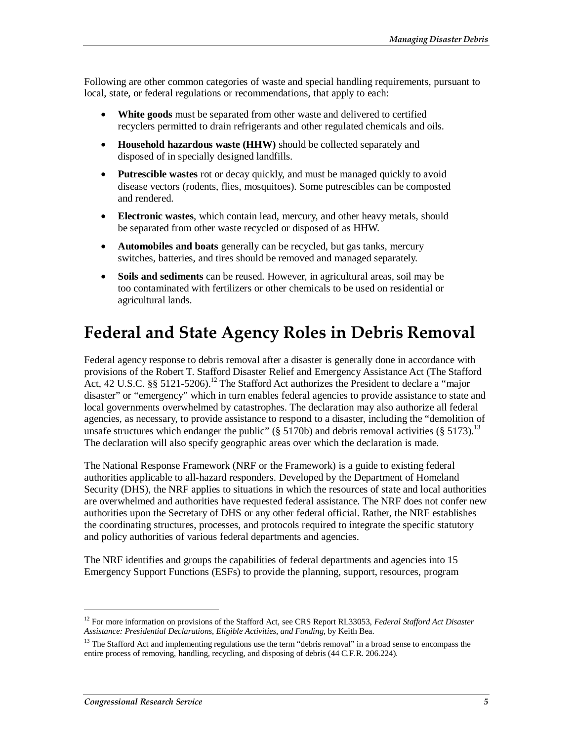Following are other common categories of waste and special handling requirements, pursuant to local, state, or federal regulations or recommendations, that apply to each:

- **White goods** must be separated from other waste and delivered to certified recyclers permitted to drain refrigerants and other regulated chemicals and oils.
- **Household hazardous waste (HHW)** should be collected separately and disposed of in specially designed landfills.
- **Putrescible wastes** rot or decay quickly, and must be managed quickly to avoid disease vectors (rodents, flies, mosquitoes). Some putrescibles can be composted and rendered.
- **Electronic wastes**, which contain lead, mercury, and other heavy metals, should be separated from other waste recycled or disposed of as HHW.
- **Automobiles and boats** generally can be recycled, but gas tanks, mercury switches, batteries, and tires should be removed and managed separately.
- **Soils and sediments** can be reused. However, in agricultural areas, soil may be too contaminated with fertilizers or other chemicals to be used on residential or agricultural lands.

## **Federal and State Agency Roles in Debris Removal**

Federal agency response to debris removal after a disaster is generally done in accordance with provisions of the Robert T. Stafford Disaster Relief and Emergency Assistance Act (The Stafford Act, 42 U.S.C. §§ 5121-5206).<sup>12</sup> The Stafford Act authorizes the President to declare a "major disaster" or "emergency" which in turn enables federal agencies to provide assistance to state and local governments overwhelmed by catastrophes. The declaration may also authorize all federal agencies, as necessary, to provide assistance to respond to a disaster, including the "demolition of unsafe structures which endanger the public" (§ 5170b) and debris removal activities (§ 5173).<sup>13</sup> The declaration will also specify geographic areas over which the declaration is made.

The National Response Framework (NRF or the Framework) is a guide to existing federal authorities applicable to all-hazard responders. Developed by the Department of Homeland Security (DHS), the NRF applies to situations in which the resources of state and local authorities are overwhelmed and authorities have requested federal assistance. The NRF does not confer new authorities upon the Secretary of DHS or any other federal official. Rather, the NRF establishes the coordinating structures, processes, and protocols required to integrate the specific statutory and policy authorities of various federal departments and agencies.

The NRF identifies and groups the capabilities of federal departments and agencies into 15 Emergency Support Functions (ESFs) to provide the planning, support, resources, program

<sup>&</sup>lt;sup>12</sup> For more information on provisions of the Stafford Act, see CRS Report RL33053, *Federal Stafford Act Disaster Assistance: Presidential Declarations, Eligible Activities, and Funding*, by Keith Bea.

<sup>&</sup>lt;sup>13</sup> The Stafford Act and implementing regulations use the term "debris removal" in a broad sense to encompass the entire process of removing, handling, recycling, and disposing of debris (44 C.F.R. 206.224).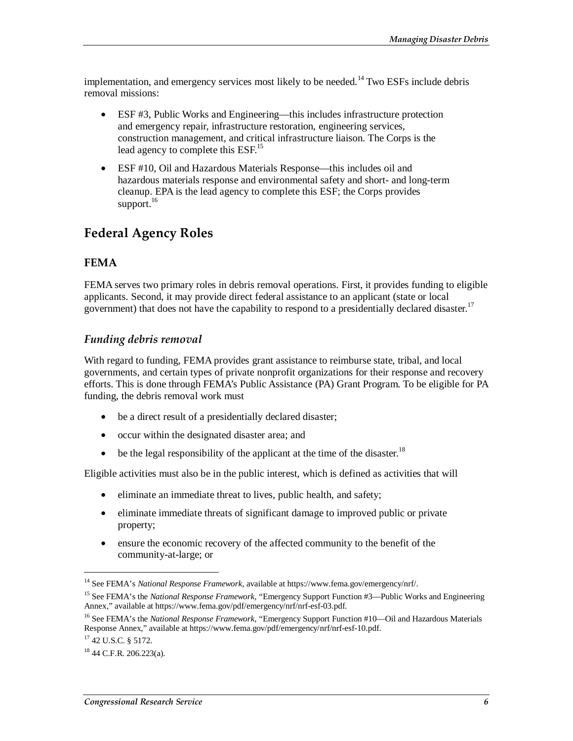implementation, and emergency services most likely to be needed.<sup>14</sup> Two ESFs include debris removal missions:

- ESF #3, Public Works and Engineering—this includes infrastructure protection and emergency repair, infrastructure restoration, engineering services, construction management, and critical infrastructure liaison. The Corps is the lead agency to complete this ESF.<sup>15</sup>
- ESF #10, Oil and Hazardous Materials Response—this includes oil and hazardous materials response and environmental safety and short- and long-term cleanup. EPA is the lead agency to complete this ESF; the Corps provides support. $^{16}$

### **Federal Agency Roles**

#### **FEMA**

FEMA serves two primary roles in debris removal operations. First, it provides funding to eligible applicants. Second, it may provide direct federal assistance to an applicant (state or local government) that does not have the capability to respond to a presidentially declared disaster.<sup>17</sup>

#### *Funding debris removal*

With regard to funding, FEMA provides grant assistance to reimburse state, tribal, and local governments, and certain types of private nonprofit organizations for their response and recovery efforts. This is done through FEMA's Public Assistance (PA) Grant Program. To be eligible for PA funding, the debris removal work must

- be a direct result of a presidentially declared disaster;
- occur within the designated disaster area; and
- be the legal responsibility of the applicant at the time of the disaster.<sup>18</sup>

Eligible activities must also be in the public interest, which is defined as activities that will

- eliminate an immediate threat to lives, public health, and safety;
- eliminate immediate threats of significant damage to improved public or private property;
- ensure the economic recovery of the affected community to the benefit of the community-at-large; or

<sup>14</sup> See FEMA's *National Response Framework*, available at https://www.fema.gov/emergency/nrf/.

<sup>15</sup> See FEMA's the *National Response Framework*, "Emergency Support Function #3—Public Works and Engineering Annex," available at https://www.fema.gov/pdf/emergency/nrf/nrf-esf-03.pdf.

<sup>16</sup> See FEMA's the *National Response Framework*, "Emergency Support Function #10—Oil and Hazardous Materials Response Annex," available at https://www.fema.gov/pdf/emergency/nrf/nrf-esf-10.pdf. <sup>17</sup> 42 U.S.C. § 5172.

 $18$  44 C.F.R. 206.223(a).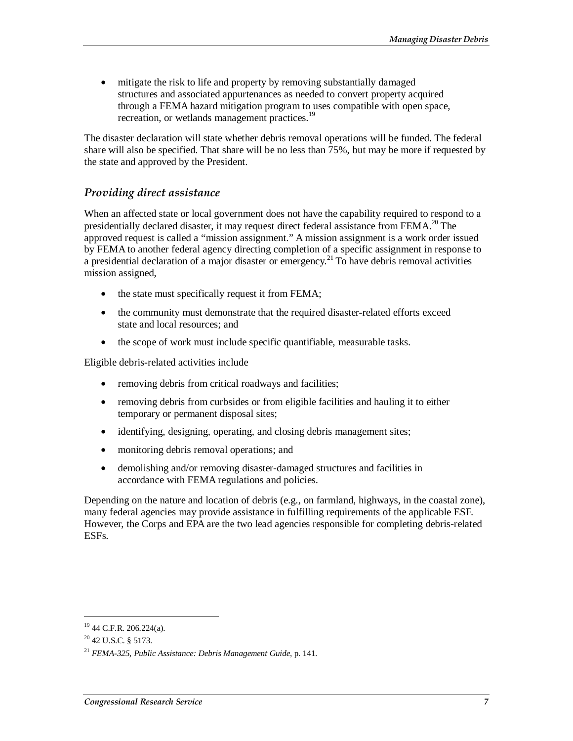• mitigate the risk to life and property by removing substantially damaged structures and associated appurtenances as needed to convert property acquired through a FEMA hazard mitigation program to uses compatible with open space, recreation, or wetlands management practices.<sup>19</sup>

The disaster declaration will state whether debris removal operations will be funded. The federal share will also be specified. That share will be no less than 75%, but may be more if requested by the state and approved by the President.

#### *Providing direct assistance*

When an affected state or local government does not have the capability required to respond to a presidentially declared disaster, it may request direct federal assistance from FEMA.<sup>20</sup> The approved request is called a "mission assignment." A mission assignment is a work order issued by FEMA to another federal agency directing completion of a specific assignment in response to a presidential declaration of a major disaster or emergency.<sup>21</sup> To have debris removal activities mission assigned,

- the state must specifically request it from FEMA;
- the community must demonstrate that the required disaster-related efforts exceed state and local resources; and
- the scope of work must include specific quantifiable, measurable tasks.

Eligible debris-related activities include

- removing debris from critical roadways and facilities;
- removing debris from curbsides or from eligible facilities and hauling it to either temporary or permanent disposal sites;
- identifying, designing, operating, and closing debris management sites;
- monitoring debris removal operations; and
- demolishing and/or removing disaster-damaged structures and facilities in accordance with FEMA regulations and policies.

Depending on the nature and location of debris (e.g., on farmland, highways, in the coastal zone), many federal agencies may provide assistance in fulfilling requirements of the applicable ESF. However, the Corps and EPA are the two lead agencies responsible for completing debris-related ESFs.

<sup>19 44</sup> C.F.R. 206.224(a).

 $20$  42 U.S.C. § 5173.

<sup>21</sup> *FEMA-325, Public Assistance: Debris Management Guide*, p. 141.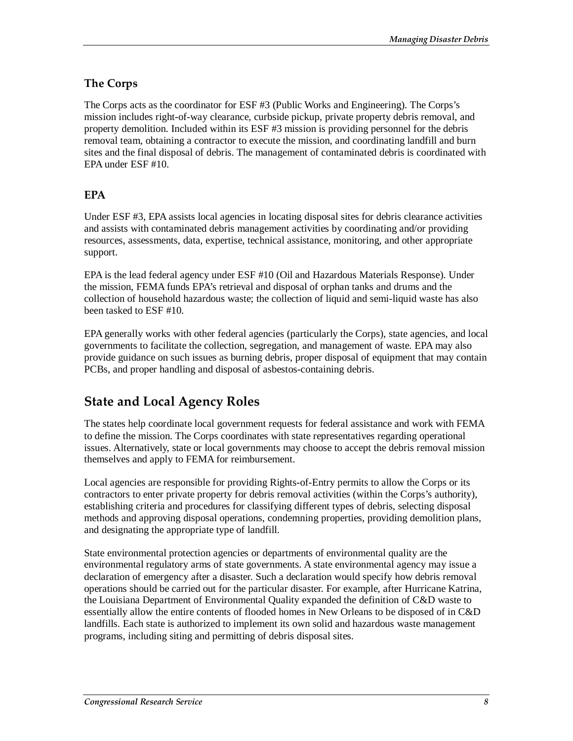#### **The Corps**

The Corps acts as the coordinator for ESF #3 (Public Works and Engineering). The Corps's mission includes right-of-way clearance, curbside pickup, private property debris removal, and property demolition. Included within its ESF #3 mission is providing personnel for the debris removal team, obtaining a contractor to execute the mission, and coordinating landfill and burn sites and the final disposal of debris. The management of contaminated debris is coordinated with EPA under ESF #10.

#### **EPA**

Under ESF #3, EPA assists local agencies in locating disposal sites for debris clearance activities and assists with contaminated debris management activities by coordinating and/or providing resources, assessments, data, expertise, technical assistance, monitoring, and other appropriate support.

EPA is the lead federal agency under ESF #10 (Oil and Hazardous Materials Response). Under the mission, FEMA funds EPA's retrieval and disposal of orphan tanks and drums and the collection of household hazardous waste; the collection of liquid and semi-liquid waste has also been tasked to ESF #10.

EPA generally works with other federal agencies (particularly the Corps), state agencies, and local governments to facilitate the collection, segregation, and management of waste. EPA may also provide guidance on such issues as burning debris, proper disposal of equipment that may contain PCBs, and proper handling and disposal of asbestos-containing debris.

### **State and Local Agency Roles**

The states help coordinate local government requests for federal assistance and work with FEMA to define the mission. The Corps coordinates with state representatives regarding operational issues. Alternatively, state or local governments may choose to accept the debris removal mission themselves and apply to FEMA for reimbursement.

Local agencies are responsible for providing Rights-of-Entry permits to allow the Corps or its contractors to enter private property for debris removal activities (within the Corps's authority), establishing criteria and procedures for classifying different types of debris, selecting disposal methods and approving disposal operations, condemning properties, providing demolition plans, and designating the appropriate type of landfill.

State environmental protection agencies or departments of environmental quality are the environmental regulatory arms of state governments. A state environmental agency may issue a declaration of emergency after a disaster. Such a declaration would specify how debris removal operations should be carried out for the particular disaster. For example, after Hurricane Katrina, the Louisiana Department of Environmental Quality expanded the definition of C&D waste to essentially allow the entire contents of flooded homes in New Orleans to be disposed of in C&D landfills. Each state is authorized to implement its own solid and hazardous waste management programs, including siting and permitting of debris disposal sites.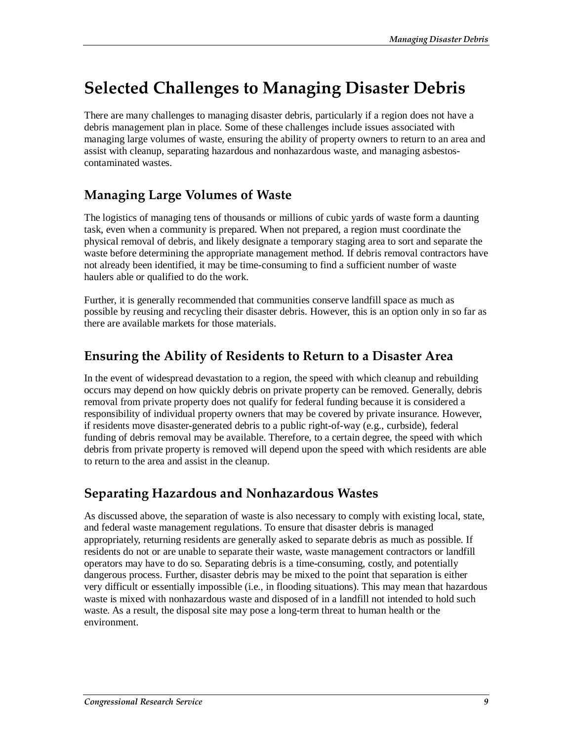## **Selected Challenges to Managing Disaster Debris**

There are many challenges to managing disaster debris, particularly if a region does not have a debris management plan in place. Some of these challenges include issues associated with managing large volumes of waste, ensuring the ability of property owners to return to an area and assist with cleanup, separating hazardous and nonhazardous waste, and managing asbestoscontaminated wastes.

## **Managing Large Volumes of Waste**

The logistics of managing tens of thousands or millions of cubic yards of waste form a daunting task, even when a community is prepared. When not prepared, a region must coordinate the physical removal of debris, and likely designate a temporary staging area to sort and separate the waste before determining the appropriate management method. If debris removal contractors have not already been identified, it may be time-consuming to find a sufficient number of waste haulers able or qualified to do the work.

Further, it is generally recommended that communities conserve landfill space as much as possible by reusing and recycling their disaster debris. However, this is an option only in so far as there are available markets for those materials.

### **Ensuring the Ability of Residents to Return to a Disaster Area**

In the event of widespread devastation to a region, the speed with which cleanup and rebuilding occurs may depend on how quickly debris on private property can be removed. Generally, debris removal from private property does not qualify for federal funding because it is considered a responsibility of individual property owners that may be covered by private insurance. However, if residents move disaster-generated debris to a public right-of-way (e.g., curbside), federal funding of debris removal may be available. Therefore, to a certain degree, the speed with which debris from private property is removed will depend upon the speed with which residents are able to return to the area and assist in the cleanup.

### **Separating Hazardous and Nonhazardous Wastes**

As discussed above, the separation of waste is also necessary to comply with existing local, state, and federal waste management regulations. To ensure that disaster debris is managed appropriately, returning residents are generally asked to separate debris as much as possible. If residents do not or are unable to separate their waste, waste management contractors or landfill operators may have to do so. Separating debris is a time-consuming, costly, and potentially dangerous process. Further, disaster debris may be mixed to the point that separation is either very difficult or essentially impossible (i.e., in flooding situations). This may mean that hazardous waste is mixed with nonhazardous waste and disposed of in a landfill not intended to hold such waste. As a result, the disposal site may pose a long-term threat to human health or the environment.